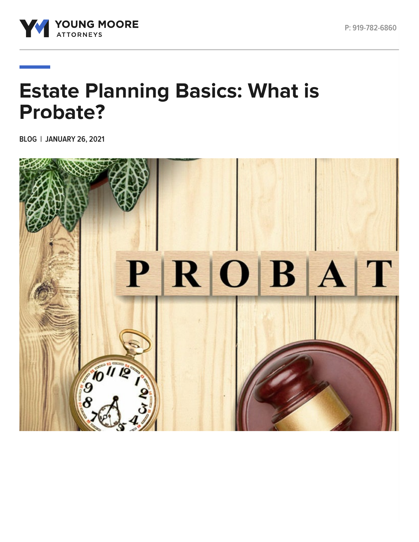

# **Estate Planning Basics: What is Probate?**

**BLOG | JANUARY 26, 2021**

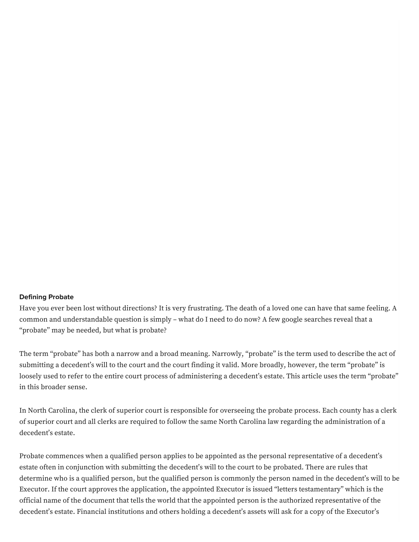#### **Defining Probate**

Have you ever been lost without directions? It is very frustrating. The death of a loved one can have that same feeling. A common and understandable question is simply – what do I need to do now? A few google searches reveal that a "probate" may be needed, but what is probate?

The term "probate" has both a narrow and a broad meaning. Narrowly, "probate" is the term used to describe the act of submitting a decedent's will to the court and the court finding it valid. More broadly, however, the term "probate" is loosely used to refer to the entire court process of administering a decedent's estate. This article uses the term "probate" in this broader sense.

In North Carolina, the clerk of superior court is responsible for overseeing the probate process. Each county has a clerk of superior court and all clerks are required to follow the same North Carolina law regarding the administration of a decedent's estate.

Probate commences when a qualified person applies to be appointed as the personal representative of a decedent's estate often in conjunction with submitting the decedent's will to the court to be probated. There are rules that determine who is a qualified person, but the qualified person is commonly the person named in the decedent's will to be Executor. If the court approves the application, the appointed Executor is issued "letters testamentary" which is the official name of the document that tells the world that the appointed person is the authorized representative of the decedent's estate. Financial institutions and others holding a decedent's assets will ask for a copy of the Executor's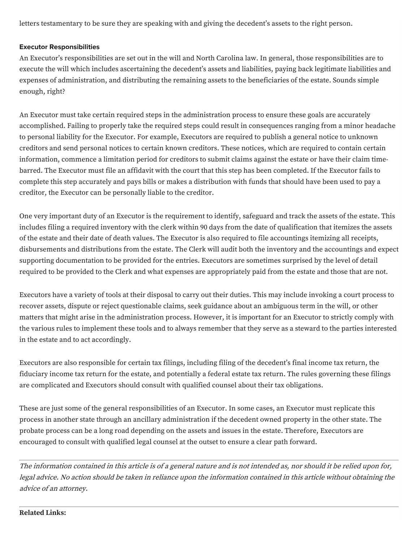letters testamentary to be sure they are speaking with and giving the decedent's assets to the right person.

### **Executor Responsibilities**

An Executor's responsibilities are set out in the will and North Carolina law. In general, those responsibilities are to execute the will which includes ascertaining the decedent's assets and liabilities, paying back legitimate liabilities and expenses of administration, and distributing the remaining assets to the beneficiaries of the estate. Sounds simple enough, right?

An Executor must take certain required steps in the administration process to ensure these goals are accurately accomplished. Failing to properly take the required steps could result in consequences ranging from a minor headache to personal liability for the Executor. For example, Executors are required to publish a general notice to unknown creditors and send personal notices to certain known creditors. These notices, which are required to contain certain information, commence a limitation period for creditors to submit claims against the estate or have their claim timebarred. The Executor must file an affidavit with the court that this step has been completed. If the Executor fails to complete this step accurately and pays bills or makes a distribution with funds that should have been used to pay a creditor, the Executor can be personally liable to the creditor.

One very important duty of an Executor is the requirement to identify, safeguard and track the assets of the estate. This includes filing a required inventory with the clerk within 90 days from the date of qualification that itemizes the assets of the estate and their date of death values. The Executor is also required to file accountings itemizing all receipts, disbursements and distributions from the estate. The Clerk will audit both the inventory and the accountings and expect supporting documentation to be provided for the entries. Executors are sometimes surprised by the level of detail required to be provided to the Clerk and what expenses are appropriately paid from the estate and those that are not.

Executors have a variety of tools at their disposal to carry out their duties. This may include invoking a court process to recover assets, dispute or reject questionable claims, seek guidance about an ambiguous term in the will, or other matters that might arise in the administration process. However, it is important for an Executor to strictly comply with the various rules to implement these tools and to always remember that they serve as a steward to the parties interested in the estate and to act accordingly.

Executors are also responsible for certain tax filings, including filing of the decedent's final income tax return, the fiduciary income tax return for the estate, and potentially a federal estate tax return. The rules governing these filings are complicated and Executors should consult with qualified counsel about their tax obligations.

These are just some of the general responsibilities of an Executor. In some cases, an Executor must replicate this process in another state through an ancillary administration if the decedent owned property in the other state. The probate process can be a long road depending on the assets and issues in the estate. Therefore, Executors are encouraged to consult with qualified legal counsel at the outset to ensure a clear path forward.

The information contained in this article is of <sup>a</sup> general nature and is not intended as, nor should it be relied upon for, legal advice. No action should be taken in reliance upon the information contained in this article without obtaining the advice of an attorney.